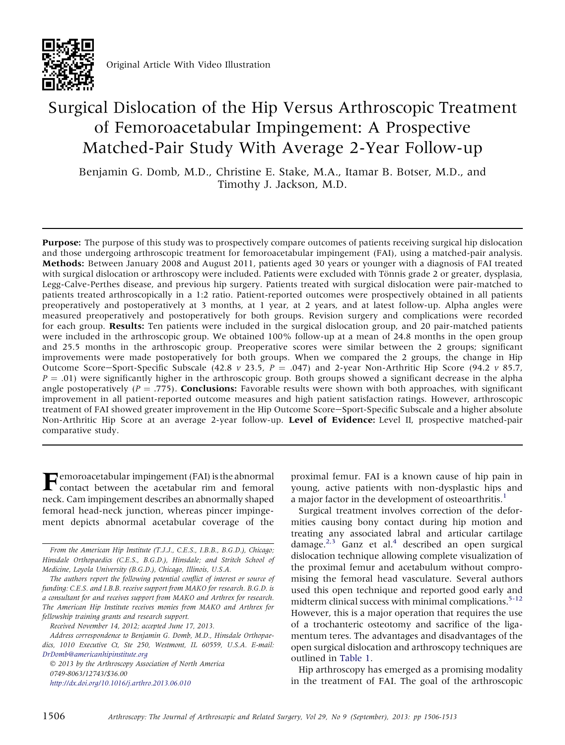

Original Article With Video Illustration

# Surgical Dislocation of the Hip Versus Arthroscopic Treatment of Femoroacetabular Impingement: A Prospective Matched-Pair Study With Average 2-Year Follow-up

Benjamin G. Domb, M.D., Christine E. Stake, M.A., Itamar B. Botser, M.D., and Timothy J. Jackson, M.D.

Purpose: The purpose of this study was to prospectively compare outcomes of patients receiving surgical hip dislocation and those undergoing arthroscopic treatment for femoroacetabular impingement (FAI), using a matched-pair analysis. Methods: Between January 2008 and August 2011, patients aged 30 years or younger with a diagnosis of FAI treated with surgical dislocation or arthroscopy were included. Patients were excluded with Tönnis grade 2 or greater, dysplasia, Legg-Calve-Perthes disease, and previous hip surgery. Patients treated with surgical dislocation were pair-matched to patients treated arthroscopically in a 1:2 ratio. Patient-reported outcomes were prospectively obtained in all patients preoperatively and postoperatively at 3 months, at 1 year, at 2 years, and at latest follow-up. Alpha angles were measured preoperatively and postoperatively for both groups. Revision surgery and complications were recorded for each group. Results: Ten patients were included in the surgical dislocation group, and 20 pair-matched patients were included in the arthroscopic group. We obtained 100% follow-up at a mean of 24.8 months in the open group and 25.5 months in the arthroscopic group. Preoperative scores were similar between the 2 groups; significant improvements were made postoperatively for both groups. When we compared the 2 groups, the change in Hip Outcome Score-Sport-Specific Subscale (42.8 v 23.5,  $P = .047$ ) and 2-year Non-Arthritic Hip Score (94.2 v 85.7,  $P = .01$ ) were significantly higher in the arthroscopic group. Both groups showed a significant decrease in the alpha angle postoperatively ( $P = .775$ ). Conclusions: Favorable results were shown with both approaches, with significant improvement in all patient-reported outcome measures and high patient satisfaction ratings. However, arthroscopic treatment of FAI showed greater improvement in the Hip Outcome Score-Sport-Specific Subscale and a higher absolute Non-Arthritic Hip Score at an average 2-year follow-up. Level of Evidence: Level II, prospective matched-pair comparative study.

Femoroacetabular impingement (FAI) is the abnormal contact between the acetabular rim and femoral neck. Cam impingement describes an abnormally shaped femoral head-neck junction, whereas pincer impingement depicts abnormal acetabular coverage of the

 2013 by the Arthroscopy Association of North America 0749-8063/12743/\$36.00 <http://dx.doi.org/10.1016/j.arthro.2013.06.010>

proximal femur. FAI is a known cause of hip pain in young, active patients with non-dysplastic hips and a major factor in the development of osteoarthritis.<sup>[1](#page-6-0)</sup>

Surgical treatment involves correction of the deformities causing bony contact during hip motion and treating any associated labral and articular cartilage damage.<sup>[2,3](#page-6-0)</sup> Ganz et al.<sup>4</sup> described an open surgical dislocation technique allowing complete visualization of the proximal femur and acetabulum without compromising the femoral head vasculature. Several authors used this open technique and reported good early and midterm clinical success with minimal complications.<sup>5-12</sup> However, this is a major operation that requires the use of a trochanteric osteotomy and sacrifice of the ligamentum teres. The advantages and disadvantages of the open surgical dislocation and arthroscopy techniques are outlined in [Table 1](#page-1-0).

Hip arthroscopy has emerged as a promising modality in the treatment of FAI. The goal of the arthroscopic

From the American Hip Institute (T.J.J., C.E.S., I.B.B., B.G.D.), Chicago; Hinsdale Orthopaedics (C.E.S., B.G.D.), Hinsdale; and Stritch School of Medicine, Loyola University (B.G.D.), Chicago, Illinois, U.S.A.

The authors report the following potential conflict of interest or source of funding: C.E.S. and I.B.B. receive support from MAKO for research. B.G.D. is a consultant for and receives support from MAKO and Arthrex for research. The American Hip Institute receives monies from MAKO and Arthrex for fellowship training grants and research support.

Received November 14, 2012; accepted June 17, 2013.

Address correspondence to Benjamin G. Domb, M.D., Hinsdale Orthopaedics, 1010 Executive Ct, Ste 250, Westmont, IL 60559, U.S.A. E-mail: [DrDomb@americanhipinstitute.org](mailto:DrDomb@americanhipinstitute.org)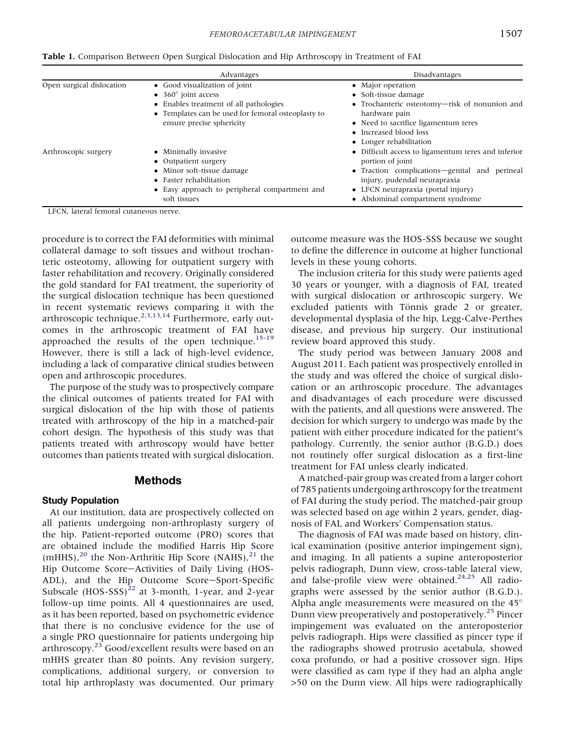|                                         | Advantages                                                                                                                                                                                          | Disadvantages                                                                                                                                                                                                                      |
|-----------------------------------------|-----------------------------------------------------------------------------------------------------------------------------------------------------------------------------------------------------|------------------------------------------------------------------------------------------------------------------------------------------------------------------------------------------------------------------------------------|
| Open surgical dislocation               | • Good visualization of joint<br>$\bullet$ 360 $^{\circ}$ joint access<br>• Enables treatment of all pathologies<br>• Templates can be used for femoral osteoplasty to<br>ensure precise sphericity | • Major operation<br>• Soft-tissue damage<br>• Trochanteric osteotomy-risk of nonunion and<br>hardware pain<br>• Need to sacrifice ligamentum teres<br>• Increased blood loss<br>• Longer rehabilitation                           |
| Arthroscopic surgery<br>$x = mx + 1$ 10 | • Minimally invasive<br>• Outpatient surgery<br>• Minor soft-tissue damage<br>• Faster rehabilitation<br>• Easy approach to peripheral compartment and<br>soft tissues                              | • Difficult access to ligamentum teres and inferior<br>portion of joint<br>• Traction complications-genital and perineal<br>injury, pudendal neurapraxia<br>• LFCN neurapraxia (portal injury)<br>• Abdominal compartment syndrome |

<span id="page-1-0"></span>Table 1. Comparison Between Open Surgical Dislocation and Hip Arthroscopy in Treatment of FAI

LFCN, lateral femoral cutaneous nerve.

procedure is to correct the FAI deformities with minimal collateral damage to soft tissues and without trochanteric osteotomy, allowing for outpatient surgery with faster rehabilitation and recovery. Originally considered the gold standard for FAI treatment, the superiority of the surgical dislocation technique has been questioned in recent systematic reviews comparing it with the arthroscopic technique.<sup>[2,3,13,14](#page-6-0)</sup> Furthermore, early outcomes in the arthroscopic treatment of FAI have approached the results of the open technique.<sup>[15-19](#page-7-0)</sup> However, there is still a lack of high-level evidence, including a lack of comparative clinical studies between open and arthroscopic procedures.

The purpose of the study was to prospectively compare the clinical outcomes of patients treated for FAI with surgical dislocation of the hip with those of patients treated with arthroscopy of the hip in a matched-pair cohort design. The hypothesis of this study was that patients treated with arthroscopy would have better outcomes than patients treated with surgical dislocation.

#### Methods

#### Study Population

At our institution, data are prospectively collected on all patients undergoing non-arthroplasty surgery of the hip. Patient-reported outcome (PRO) scores that are obtained include the modified Harris Hip Score  $(mHHS)<sup>20</sup>$  $(mHHS)<sup>20</sup>$  $(mHHS)<sup>20</sup>$  the Non-Arthritic Hip Score (NAHS),<sup>[21](#page-7-0)</sup> the Hip Outcome Score-Activities of Daily Living (HOS-ADL), and the Hip Outcome Score-Sport-Specific Subscale  $(HOS-SSS)^{22}$  $(HOS-SSS)^{22}$  $(HOS-SSS)^{22}$  at 3-month, 1-year, and 2-year follow-up time points. All 4 questionnaires are used, as it has been reported, based on psychometric evidence that there is no conclusive evidence for the use of a single PRO questionnaire for patients undergoing hip arthroscopy.<sup>[23](#page-7-0)</sup> Good/excellent results were based on an mHHS greater than 80 points. Any revision surgery, complications, additional surgery, or conversion to total hip arthroplasty was documented. Our primary

outcome measure was the HOS-SSS because we sought to define the difference in outcome at higher functional levels in these young cohorts.

The inclusion criteria for this study were patients aged 30 years or younger, with a diagnosis of FAI, treated with surgical dislocation or arthroscopic surgery. We excluded patients with Tönnis grade 2 or greater, developmental dysplasia of the hip, Legg-Calve-Perthes disease, and previous hip surgery. Our institutional review board approved this study.

The study period was between January 2008 and August 2011. Each patient was prospectively enrolled in the study and was offered the choice of surgical dislocation or an arthroscopic procedure. The advantages and disadvantages of each procedure were discussed with the patients, and all questions were answered. The decision for which surgery to undergo was made by the patient with either procedure indicated for the patient's pathology. Currently, the senior author (B.G.D.) does not routinely offer surgical dislocation as a first-line treatment for FAI unless clearly indicated.

A matched-pair group was created from a larger cohort of 785 patients undergoing arthroscopy for the treatment of FAI during the study period. The matched-pair group was selected based on age within 2 years, gender, diagnosis of FAI, and Workers' Compensation status.

The diagnosis of FAI was made based on history, clinical examination (positive anterior impingement sign), and imaging. In all patients a supine anteroposterior pelvis radiograph, Dunn view, cross-table lateral view, and false-profile view were obtained.<sup>[24,25](#page-7-0)</sup> All radiographs were assessed by the senior author (B.G.D.). Alpha angle measurements were measured on the  $45^{\circ}$ Dunn view preoperatively and postoperatively[.25](#page-7-0) Pincer impingement was evaluated on the anteroposterior pelvis radiograph. Hips were classified as pincer type if the radiographs showed protrusio acetabula, showed coxa profundo, or had a positive crossover sign. Hips were classified as cam type if they had an alpha angle >50 on the Dunn view. All hips were radiographically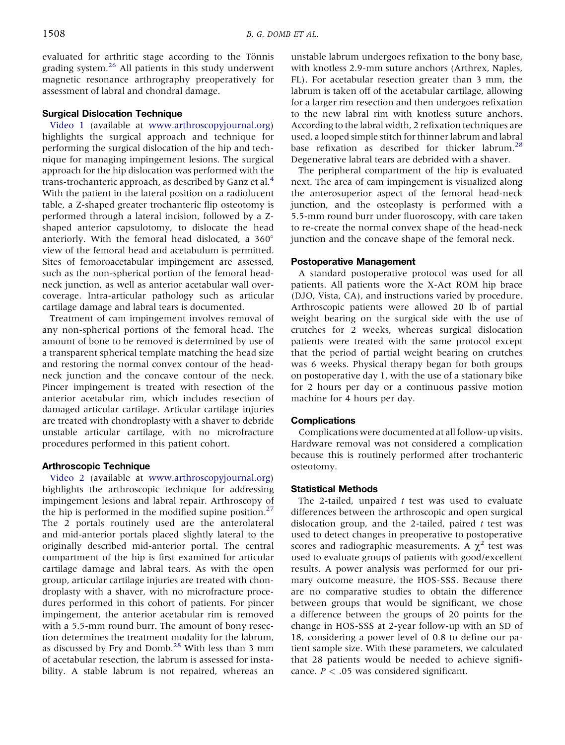evaluated for arthritic stage according to the Tönnis grading system.[26](#page-7-0) All patients in this study underwent magnetic resonance arthrography preoperatively for assessment of labral and chondral damage.

#### Surgical Dislocation Technique

Video 1 (available at [www.arthroscopyjournal.org](http://www.arthroscopyjournal.org)) highlights the surgical approach and technique for performing the surgical dislocation of the hip and technique for managing impingement lesions. The surgical approach for the hip dislocation was performed with the trans-trochanteric approach, as described by Ganz et al.<sup>[4](#page-6-0)</sup> With the patient in the lateral position on a radiolucent table, a Z-shaped greater trochanteric flip osteotomy is performed through a lateral incision, followed by a Zshaped anterior capsulotomy, to dislocate the head anteriorly. With the femoral head dislocated, a 360 $^{\circ}$ view of the femoral head and acetabulum is permitted. Sites of femoroacetabular impingement are assessed, such as the non-spherical portion of the femoral headneck junction, as well as anterior acetabular wall overcoverage. Intra-articular pathology such as articular cartilage damage and labral tears is documented.

Treatment of cam impingement involves removal of any non-spherical portions of the femoral head. The amount of bone to be removed is determined by use of a transparent spherical template matching the head size and restoring the normal convex contour of the headneck junction and the concave contour of the neck. Pincer impingement is treated with resection of the anterior acetabular rim, which includes resection of damaged articular cartilage. Articular cartilage injuries are treated with chondroplasty with a shaver to debride unstable articular cartilage, with no microfracture procedures performed in this patient cohort.

#### Arthroscopic Technique

Video 2 (available at [www.arthroscopyjournal.org](http://www.arthroscopyjournal.org)) highlights the arthroscopic technique for addressing impingement lesions and labral repair. Arthroscopy of the hip is performed in the modified supine position.<sup>[27](#page-7-0)</sup> The 2 portals routinely used are the anterolateral and mid-anterior portals placed slightly lateral to the originally described mid-anterior portal. The central compartment of the hip is first examined for articular cartilage damage and labral tears. As with the open group, articular cartilage injuries are treated with chondroplasty with a shaver, with no microfracture procedures performed in this cohort of patients. For pincer impingement, the anterior acetabular rim is removed with a 5.5-mm round burr. The amount of bony resection determines the treatment modality for the labrum, as discussed by Fry and Domb.<sup>[28](#page-7-0)</sup> With less than 3 mm of acetabular resection, the labrum is assessed for instability. A stable labrum is not repaired, whereas an

unstable labrum undergoes refixation to the bony base, with knotless 2.9-mm suture anchors (Arthrex, Naples, FL). For acetabular resection greater than 3 mm, the labrum is taken off of the acetabular cartilage, allowing for a larger rim resection and then undergoes refixation to the new labral rim with knotless suture anchors. According to the labral width, 2 refixation techniques are used, a looped simple stitch for thinner labrum and labral base refixation as described for thicker labrum.<sup>[28](#page-7-0)</sup> Degenerative labral tears are debrided with a shaver.

The peripheral compartment of the hip is evaluated next. The area of cam impingement is visualized along the anterosuperior aspect of the femoral head-neck junction, and the osteoplasty is performed with a 5.5-mm round burr under fluoroscopy, with care taken to re-create the normal convex shape of the head-neck junction and the concave shape of the femoral neck.

#### Postoperative Management

A standard postoperative protocol was used for all patients. All patients wore the X-Act ROM hip brace (DJO, Vista, CA), and instructions varied by procedure. Arthroscopic patients were allowed 20 lb of partial weight bearing on the surgical side with the use of crutches for 2 weeks, whereas surgical dislocation patients were treated with the same protocol except that the period of partial weight bearing on crutches was 6 weeks. Physical therapy began for both groups on postoperative day 1, with the use of a stationary bike for 2 hours per day or a continuous passive motion machine for 4 hours per day.

#### **Complications**

Complications were documented at all follow-up visits. Hardware removal was not considered a complication because this is routinely performed after trochanteric osteotomy.

#### Statistical Methods

The 2-tailed, unpaired  $t$  test was used to evaluate differences between the arthroscopic and open surgical dislocation group, and the 2-tailed, paired  $t$  test was used to detect changes in preoperative to postoperative scores and radiographic measurements. A  $\chi^2$  test was used to evaluate groups of patients with good/excellent results. A power analysis was performed for our primary outcome measure, the HOS-SSS. Because there are no comparative studies to obtain the difference between groups that would be significant, we chose a difference between the groups of 20 points for the change in HOS-SSS at 2-year follow-up with an SD of 18, considering a power level of 0.8 to define our patient sample size. With these parameters, we calculated that 28 patients would be needed to achieve significance.  $P < .05$  was considered significant.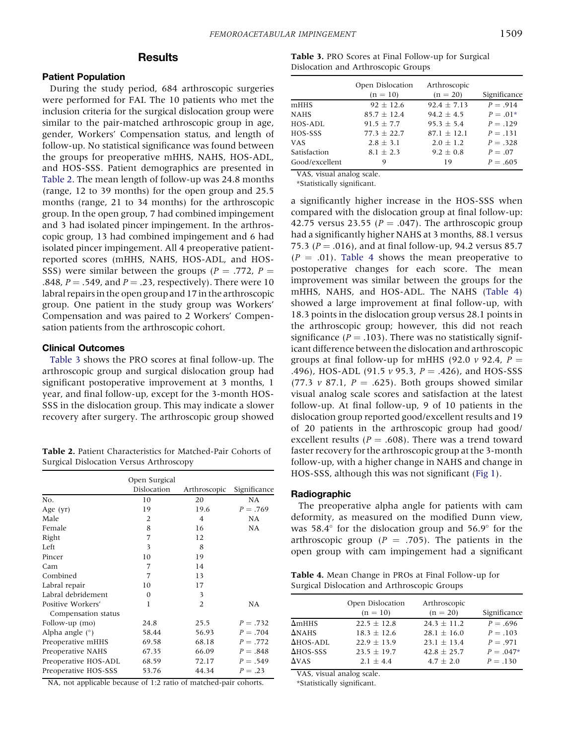# **Results**

#### Patient Population

During the study period, 684 arthroscopic surgeries were performed for FAI. The 10 patients who met the inclusion criteria for the surgical dislocation group were similar to the pair-matched arthroscopic group in age, gender, Workers' Compensation status, and length of follow-up. No statistical significance was found between the groups for preoperative mHHS, NAHS, HOS-ADL, and HOS-SSS. Patient demographics are presented in Table 2. The mean length of follow-up was 24.8 months (range, 12 to 39 months) for the open group and 25.5 months (range, 21 to 34 months) for the arthroscopic group. In the open group, 7 had combined impingement and 3 had isolated pincer impingement. In the arthroscopic group, 13 had combined impingement and 6 had isolated pincer impingement. All 4 preoperative patientreported scores (mHHS, NAHS, HOS-ADL, and HOS-SSS) were similar between the groups ( $P = .772$ ,  $P =$ .848,  $P = .549$ , and  $P = .23$ , respectively). There were 10 labral repairs in the open group and 17 in the arthroscopic group. One patient in the study group was Workers' Compensation and was paired to 2 Workers' Compensation patients from the arthroscopic cohort.

#### Clinical Outcomes

Table 3 shows the PRO scores at final follow-up. The arthroscopic group and surgical dislocation group had significant postoperative improvement at 3 months, 1 year, and final follow-up, except for the 3-month HOS-SSS in the dislocation group. This may indicate a slower recovery after surgery. The arthroscopic group showed

Table 2. Patient Characteristics for Matched-Pair Cohorts of Surgical Dislocation Versus Arthroscopy

|                      | Open Surgical<br>Dislocation | Arthroscopic   | Significance |
|----------------------|------------------------------|----------------|--------------|
| No.                  | 10                           | 20             | <b>NA</b>    |
| Age $(yr)$           | 19                           | 19.6           | $P = .769$   |
| Male                 | $\overline{2}$               | $\overline{4}$ | <b>NA</b>    |
| Female               | 8                            | 16             | <b>NA</b>    |
| Right                | 7                            | 12             |              |
| Left                 | 3                            | 8              |              |
| Pincer               | 10                           | 19             |              |
| Cam                  | 7                            | 14             |              |
| Combined             | 7                            | 13             |              |
| Labral repair        | 10                           | 17             |              |
| Labral debridement   | $\mathbf{0}$                 | 3              |              |
| Positive Workers'    | ı                            | $\overline{2}$ | NA           |
| Compensation status  |                              |                |              |
| Follow-up (mo)       | 24.8                         | 25.5           | $P = .732$   |
| Alpha angle $(°)$    | 58.44                        | 56.93          | $P = .704$   |
| Preoperative mHHS    | 69.58                        | 68.18          | $P = .772$   |
| Preoperative NAHS    | 67.35                        | 66.09          | $P = .848$   |
| Preoperative HOS-ADL | 68.59                        | 72.17          | $P = .549$   |
| Preoperative HOS-SSS | 53.76                        | 44.34          | $P = .23$    |

NA, not applicable because of 1:2 ratio of matched-pair cohorts.

Table 3. PRO Scores at Final Follow-up for Surgical Dislocation and Arthroscopic Groups

|                | Open Dislocation | Arthroscopic  |              |
|----------------|------------------|---------------|--------------|
|                | $(n = 10)$       | $(n = 20)$    | Significance |
| mHHS           | $92 \pm 12.6$    | $92.4 + 7.13$ | $P = .914$   |
| <b>NAHS</b>    | $85.7 \pm 12.4$  | $94.2 + 4.5$  | $P = .01*$   |
| HOS-ADL        | $91.5 \pm 7.7$   | $95.3 + 5.4$  | $P = .129$   |
| HOS-SSS        | $77.3 \pm 22.7$  | $87.1 + 12.1$ | $P = .131$   |
| <b>VAS</b>     | $2.8 \pm 3.1$    | $2.0 \pm 1.2$ | $P = .328$   |
| Satisfaction   | $8.1 \pm 2.3$    | $9.2 \pm 0.8$ | $P=.07$      |
| Good/excellent | 9                | 19            | $P = .605$   |

VAS, visual analog scale.

\*Statistically significant.

a significantly higher increase in the HOS-SSS when compared with the dislocation group at final follow-up: 42.75 versus 23.55 ( $P = .047$ ). The arthroscopic group had a significantly higher NAHS at 3 months, 88.1 versus 75.3 ( $P = .016$ ), and at final follow-up, 94.2 versus 85.7  $(P = .01)$ . Table 4 shows the mean preoperative to postoperative changes for each score. The mean improvement was similar between the groups for the mHHS, NAHS, and HOS-ADL. The NAHS (Table 4) showed a large improvement at final follow-up, with 18.3 points in the dislocation group versus 28.1 points in the arthroscopic group; however, this did not reach significance ( $P = .103$ ). There was no statistically significant difference between the dislocation and arthroscopic groups at final follow-up for mHHS (92.0  $\nu$  92.4,  $P =$ .496), HOS-ADL (91.5  $v$  95.3,  $P = .426$ ), and HOS-SSS (77.3 v 87.1,  $P = .625$ ). Both groups showed similar visual analog scale scores and satisfaction at the latest follow-up. At final follow-up, 9 of 10 patients in the dislocation group reported good/excellent results and 19 of 20 patients in the arthroscopic group had good/ excellent results ( $P = .608$ ). There was a trend toward faster recovery for the arthroscopic group at the 3-month follow-up, with a higher change in NAHS and change in HOS-SSS, although this was not significant ([Fig 1](#page-4-0)).

#### Radiographic

The preoperative alpha angle for patients with cam deformity, as measured on the modified Dunn view, was 58.4 $\degree$  for the dislocation group and 56.9 $\degree$  for the arthroscopic group ( $P = .705$ ). The patients in the open group with cam impingement had a significant

Table 4. Mean Change in PROs at Final Follow-up for Surgical Dislocation and Arthroscopic Groups

|                  | Open Dislocation<br>$(n = 10)$ | Arthroscopic<br>$(n = 20)$ | Significance |
|------------------|--------------------------------|----------------------------|--------------|
| $\Delta$ mHHS    | $22.5 \pm 12.8$                | $24.3 \pm 11.2$            | $P = .696$   |
| $\Delta$ NAHS    | $18.3 + 12.6$                  | $28.1 + 16.0$              | $P = .103$   |
| $\Delta$ HOS-ADL | $22.9 \pm 13.9$                | $23.1 + 13.4$              | $P = .971$   |
| $\Delta$ HOS-SSS | $23.5 + 19.7$                  | $42.8 + 25.7$              | $P = .047*$  |
| $\Delta$ VAS     | $2.1 + 4.4$                    | $4.7 + 2.0$                | $P = .130$   |
|                  |                                |                            |              |

VAS, visual analog scale.

\*Statistically significant.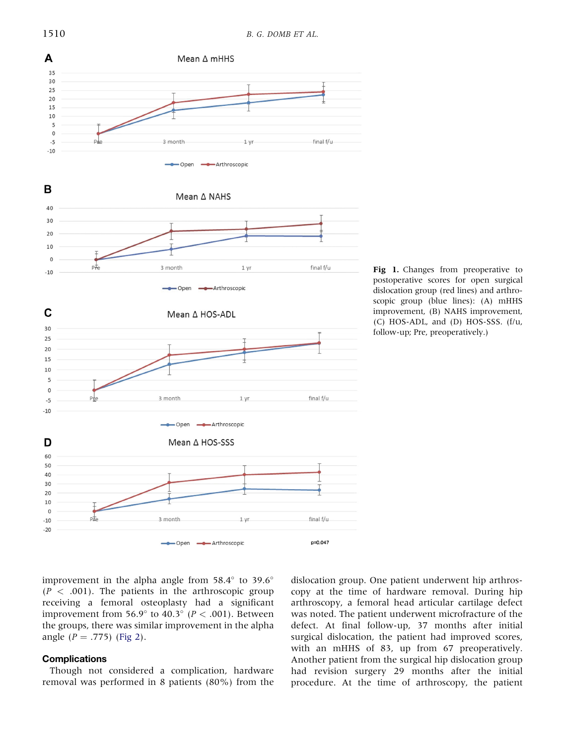<span id="page-4-0"></span>

Fig 1. Changes from preoperative to postoperative scores for open surgical dislocation group (red lines) and arthroscopic group (blue lines): (A) mHHS improvement, (B) NAHS improvement, (C) HOS-ADL, and (D) HOS-SSS. (f/u, follow-up; Pre, preoperatively.)

improvement in the alpha angle from 58.4 $^{\circ}$  to 39.6 $^{\circ}$  $(P < .001)$ . The patients in the arthroscopic group receiving a femoral osteoplasty had a significant improvement from 56.9 $^{\circ}$  to 40.3 $^{\circ}$  (P < .001). Between the groups, there was similar improvement in the alpha angle ( $P = .775$ ) [\(Fig 2](#page-5-0)).

### **Complications**

Though not considered a complication, hardware removal was performed in 8 patients (80%) from the dislocation group. One patient underwent hip arthroscopy at the time of hardware removal. During hip arthroscopy, a femoral head articular cartilage defect was noted. The patient underwent microfracture of the defect. At final follow-up, 37 months after initial surgical dislocation, the patient had improved scores, with an mHHS of 83, up from 67 preoperatively. Another patient from the surgical hip dislocation group had revision surgery 29 months after the initial procedure. At the time of arthroscopy, the patient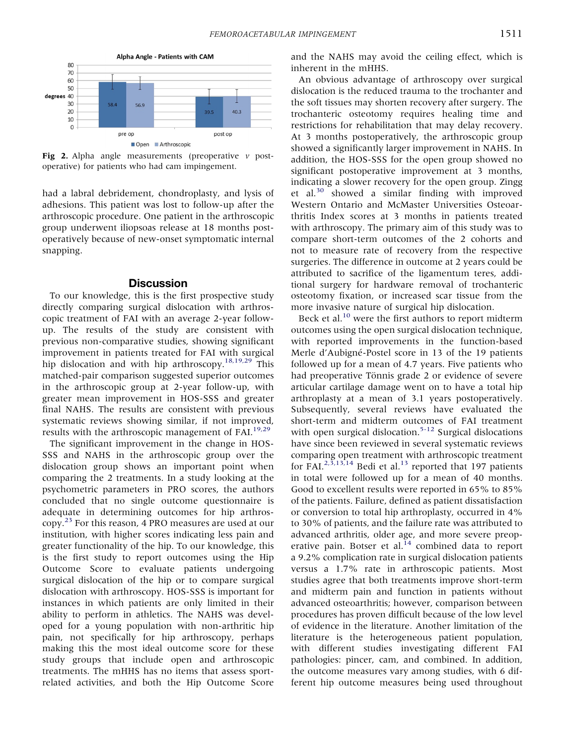<span id="page-5-0"></span>

Fig 2. Alpha angle measurements (preoperative  $\nu$  postoperative) for patients who had cam impingement.

had a labral debridement, chondroplasty, and lysis of adhesions. This patient was lost to follow-up after the arthroscopic procedure. One patient in the arthroscopic group underwent iliopsoas release at 18 months postoperatively because of new-onset symptomatic internal snapping.

# **Discussion**

To our knowledge, this is the first prospective study directly comparing surgical dislocation with arthroscopic treatment of FAI with an average 2-year followup. The results of the study are consistent with previous non-comparative studies, showing significant improvement in patients treated for FAI with surgical hip dislocation and with hip arthroscopy.<sup>[18,19,29](#page-7-0)</sup> This matched-pair comparison suggested superior outcomes in the arthroscopic group at 2-year follow-up, with greater mean improvement in HOS-SSS and greater final NAHS. The results are consistent with previous systematic reviews showing similar, if not improved, results with the arthroscopic management of FAI.<sup>[19,29](#page-7-0)</sup>

The significant improvement in the change in HOS-SSS and NAHS in the arthroscopic group over the dislocation group shows an important point when comparing the 2 treatments. In a study looking at the psychometric parameters in PRO scores, the authors concluded that no single outcome questionnaire is adequate in determining outcomes for hip arthroscopy.[23](#page-7-0) For this reason, 4 PRO measures are used at our institution, with higher scores indicating less pain and greater functionality of the hip. To our knowledge, this is the first study to report outcomes using the Hip Outcome Score to evaluate patients undergoing surgical dislocation of the hip or to compare surgical dislocation with arthroscopy. HOS-SSS is important for instances in which patients are only limited in their ability to perform in athletics. The NAHS was developed for a young population with non-arthritic hip pain, not specifically for hip arthroscopy, perhaps making this the most ideal outcome score for these study groups that include open and arthroscopic treatments. The mHHS has no items that assess sportrelated activities, and both the Hip Outcome Score

and the NAHS may avoid the ceiling effect, which is inherent in the mHHS.

An obvious advantage of arthroscopy over surgical dislocation is the reduced trauma to the trochanter and the soft tissues may shorten recovery after surgery. The trochanteric osteotomy requires healing time and restrictions for rehabilitation that may delay recovery. At 3 months postoperatively, the arthroscopic group showed a significantly larger improvement in NAHS. In addition, the HOS-SSS for the open group showed no significant postoperative improvement at 3 months, indicating a slower recovery for the open group. Zingg et al. $30$  showed a similar finding with improved Western Ontario and McMaster Universities Osteoarthritis Index scores at 3 months in patients treated with arthroscopy. The primary aim of this study was to compare short-term outcomes of the 2 cohorts and not to measure rate of recovery from the respective surgeries. The difference in outcome at 2 years could be attributed to sacrifice of the ligamentum teres, additional surgery for hardware removal of trochanteric osteotomy fixation, or increased scar tissue from the more invasive nature of surgical hip dislocation.

Beck et al. $^{10}$  $^{10}$  $^{10}$  were the first authors to report midterm outcomes using the open surgical dislocation technique, with reported improvements in the function-based Merle d'Aubigné-Postel score in 13 of the 19 patients followed up for a mean of 4.7 years. Five patients who had preoperative Tönnis grade 2 or evidence of severe articular cartilage damage went on to have a total hip arthroplasty at a mean of 3.1 years postoperatively. Subsequently, several reviews have evaluated the short-term and midterm outcomes of FAI treatment with open surgical dislocation.<sup>[5-12](#page-7-0)</sup> Surgical dislocations have since been reviewed in several systematic reviews comparing open treatment with arthroscopic treatment for FAI.<sup>[2,3,13,14](#page-6-0)</sup> Bedi et al.<sup>[13](#page-7-0)</sup> reported that 197 patients in total were followed up for a mean of 40 months. Good to excellent results were reported in 65% to 85% of the patients. Failure, defined as patient dissatisfaction or conversion to total hip arthroplasty, occurred in 4% to 30% of patients, and the failure rate was attributed to advanced arthritis, older age, and more severe preop-erative pain. Botser et al.<sup>[14](#page-7-0)</sup> combined data to report a 9.2% complication rate in surgical dislocation patients versus a 1.7% rate in arthroscopic patients. Most studies agree that both treatments improve short-term and midterm pain and function in patients without advanced osteoarthritis; however, comparison between procedures has proven difficult because of the low level of evidence in the literature. Another limitation of the literature is the heterogeneous patient population, with different studies investigating different FAI pathologies: pincer, cam, and combined. In addition, the outcome measures vary among studies, with 6 different hip outcome measures being used throughout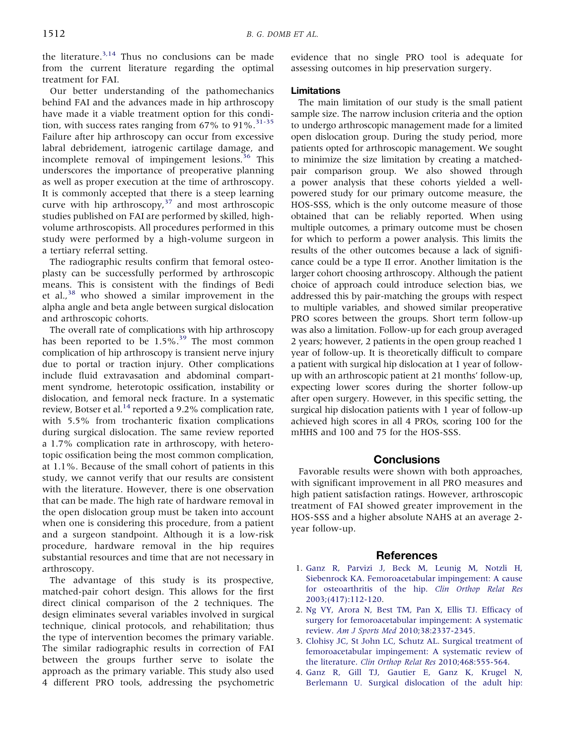<span id="page-6-0"></span>the literature.<sup>3,14</sup> Thus no conclusions can be made from the current literature regarding the optimal treatment for FAI.

Our better understanding of the pathomechanics behind FAI and the advances made in hip arthroscopy have made it a viable treatment option for this condition, with success rates ranging from  $67\%$  to  $91\%$ .<sup>[31-35](#page-7-0)</sup> Failure after hip arthroscopy can occur from excessive labral debridement, iatrogenic cartilage damage, and incomplete removal of impingement lesions.<sup>[36](#page-7-0)</sup> This underscores the importance of preoperative planning as well as proper execution at the time of arthroscopy. It is commonly accepted that there is a steep learning curve with hip arthroscopy, $37$  and most arthroscopic studies published on FAI are performed by skilled, highvolume arthroscopists. All procedures performed in this study were performed by a high-volume surgeon in a tertiary referral setting.

The radiographic results confirm that femoral osteoplasty can be successfully performed by arthroscopic means. This is consistent with the findings of Bedi et al., $38$  who showed a similar improvement in the alpha angle and beta angle between surgical dislocation and arthroscopic cohorts.

The overall rate of complications with hip arthroscopy has been reported to be 1.5%.<sup>39</sup> The most common complication of hip arthroscopy is transient nerve injury due to portal or traction injury. Other complications include fluid extravasation and abdominal compartment syndrome, heterotopic ossification, instability or dislocation, and femoral neck fracture. In a systematic review, Botser et al.<sup>[14](#page-7-0)</sup> reported a 9.2% complication rate, with 5.5% from trochanteric fixation complications during surgical dislocation. The same review reported a 1.7% complication rate in arthroscopy, with heterotopic ossification being the most common complication, at 1.1%. Because of the small cohort of patients in this study, we cannot verify that our results are consistent with the literature. However, there is one observation that can be made. The high rate of hardware removal in the open dislocation group must be taken into account when one is considering this procedure, from a patient and a surgeon standpoint. Although it is a low-risk procedure, hardware removal in the hip requires substantial resources and time that are not necessary in arthroscopy.

The advantage of this study is its prospective, matched-pair cohort design. This allows for the first direct clinical comparison of the 2 techniques. The design eliminates several variables involved in surgical technique, clinical protocols, and rehabilitation; thus the type of intervention becomes the primary variable. The similar radiographic results in correction of FAI between the groups further serve to isolate the approach as the primary variable. This study also used 4 different PRO tools, addressing the psychometric evidence that no single PRO tool is adequate for assessing outcomes in hip preservation surgery.

# Limitations

The main limitation of our study is the small patient sample size. The narrow inclusion criteria and the option to undergo arthroscopic management made for a limited open dislocation group. During the study period, more patients opted for arthroscopic management. We sought to minimize the size limitation by creating a matchedpair comparison group. We also showed through a power analysis that these cohorts yielded a wellpowered study for our primary outcome measure, the HOS-SSS, which is the only outcome measure of those obtained that can be reliably reported. When using multiple outcomes, a primary outcome must be chosen for which to perform a power analysis. This limits the results of the other outcomes because a lack of significance could be a type II error. Another limitation is the larger cohort choosing arthroscopy. Although the patient choice of approach could introduce selection bias, we addressed this by pair-matching the groups with respect to multiple variables, and showed similar preoperative PRO scores between the groups. Short term follow-up was also a limitation. Follow-up for each group averaged 2 years; however, 2 patients in the open group reached 1 year of follow-up. It is theoretically difficult to compare a patient with surgical hip dislocation at 1 year of followup with an arthroscopic patient at 21 months' follow-up, expecting lower scores during the shorter follow-up after open surgery. However, in this specific setting, the surgical hip dislocation patients with 1 year of follow-up achieved high scores in all 4 PROs, scoring 100 for the mHHS and 100 and 75 for the HOS-SSS.

# **Conclusions**

Favorable results were shown with both approaches, with significant improvement in all PRO measures and high patient satisfaction ratings. However, arthroscopic treatment of FAI showed greater improvement in the HOS-SSS and a higher absolute NAHS at an average 2 year follow-up.

# References

- 1. [Ganz R, Parvizi J, Beck M, Leunig M, Notzli H,](http://refhub.elsevier.com/S0749-8063(13)00509-4/sref1) [Siebenrock KA. Femoroacetabular impingement: A cause](http://refhub.elsevier.com/S0749-8063(13)00509-4/sref1) [for osteoarthritis of the hip.](http://refhub.elsevier.com/S0749-8063(13)00509-4/sref1) Clin Orthop Relat Res [2003;\(417\):112-120](http://refhub.elsevier.com/S0749-8063(13)00509-4/sref1).
- 2. [Ng VY, Arora N, Best TM, Pan X, Ellis TJ. Ef](http://refhub.elsevier.com/S0749-8063(13)00509-4/sref2)ficacy of [surgery for femoroacetabular impingement: A systematic](http://refhub.elsevier.com/S0749-8063(13)00509-4/sref2) review. Am J Sports Med [2010;38:2337-2345](http://refhub.elsevier.com/S0749-8063(13)00509-4/sref2).
- 3. [Clohisy JC, St John LC, Schutz AL. Surgical treatment of](http://refhub.elsevier.com/S0749-8063(13)00509-4/sref3) [femoroacetabular impingement: A systematic review of](http://refhub.elsevier.com/S0749-8063(13)00509-4/sref3) the literature. [Clin Orthop Relat Res](http://refhub.elsevier.com/S0749-8063(13)00509-4/sref3) 2010;468:555-564.
- 4. [Ganz R, Gill TJ, Gautier E, Ganz K, Krugel N,](http://refhub.elsevier.com/S0749-8063(13)00509-4/sref4) [Berlemann U. Surgical dislocation of the adult hip:](http://refhub.elsevier.com/S0749-8063(13)00509-4/sref4)